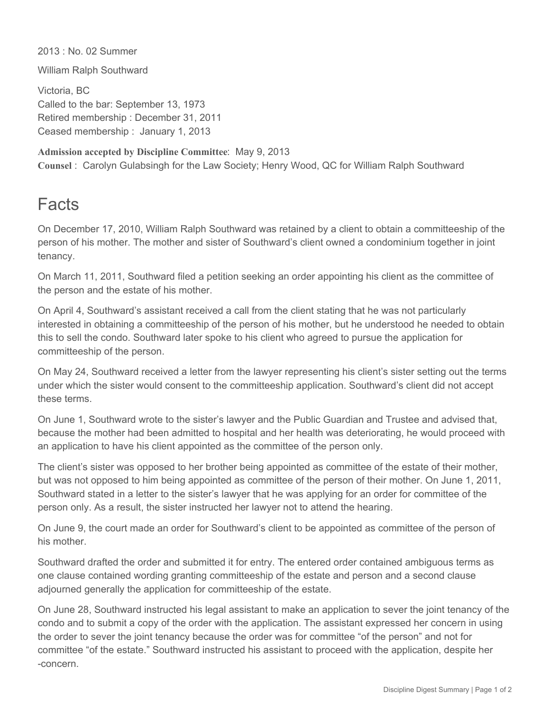2013 : No. 02 Summer

William Ralph Southward

Victoria, BC Called to the bar: September 13, 1973 Retired membership : December 31, 2011 Ceased membership : January 1, 2013

**Admission accepted by Discipline Committee**: May 9, 2013 **Counsel** : Carolyn Gulabsingh for the Law Society; Henry Wood, QC for William Ralph Southward

## Facts

On December 17, 2010, William Ralph Southward was retained by a client to obtain a committeeship of the person of his mother. The mother and sister of Southward's client owned a condominium together in joint tenancy.

On March 11, 2011, Southward filed a petition seeking an order appointing his client as the committee of the person and the estate of his mother.

On April 4, Southward's assistant received a call from the client stating that he was not particularly interested in obtaining a committeeship of the person of his mother, but he understood he needed to obtain this to sell the condo. Southward later spoke to his client who agreed to pursue the application for committeeship of the person.

On May 24, Southward received a letter from the lawyer representing his client's sister setting out the terms under which the sister would consent to the committeeship application. Southward's client did not accept these terms.

On June 1, Southward wrote to the sister's lawyer and the Public Guardian and Trustee and advised that, because the mother had been admitted to hospital and her health was deteriorating, he would proceed with an application to have his client appointed as the committee of the person only.

The client's sister was opposed to her brother being appointed as committee of the estate of their mother, but was not opposed to him being appointed as committee of the person of their mother. On June 1, 2011, Southward stated in a letter to the sister's lawyer that he was applying for an order for committee of the person only. As a result, the sister instructed her lawyer not to attend the hearing.

On June 9, the court made an order for Southward's client to be appointed as committee of the person of his mother.

Southward drafted the order and submitted it for entry. The entered order contained ambiguous terms as one clause contained wording granting committeeship of the estate and person and a second clause adjourned generally the application for committeeship of the estate.

On June 28, Southward instructed his legal assistant to make an application to sever the joint tenancy of the condo and to submit a copy of the order with the application. The assistant expressed her concern in using the order to sever the joint tenancy because the order was for committee "of the person" and not for committee "of the estate." Southward instructed his assistant to proceed with the application, despite her concern.